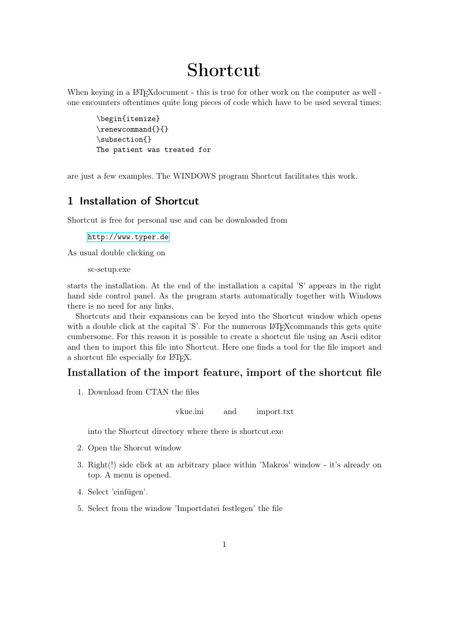# Shortcut

When keying in a LAT<sub>EX</sub> document - this is true for other work on the computer as well one encounters oftentimes quite long pieces of code which have to be used several times:

\begin{itemize} \renewcommand{}{} \subsection{} The patient was treated for

are just a few examples. The WINDOWS program Shortcut facilitates this work.

# 1 Installation of Shortcut

Shortcut is free for personal use and can be downloaded from

<http://www.typer.de>

As usual double clicking on

sc-setup.exe

starts the installation. At the end of the installation a capital 'S' appears in the right hand side control panel. As the program starts automatically together with Windows there is no need for any links.

Shortcuts and their expansions can be keyed into the Shortcut window which opens with a double click at the capital 'S'. For the numerous LAT<sub>EX</sub> commands this gets quite cumbersome. For this reason it is possible to create a shortcut file using an Ascii editor and then to import this file into Shortcut. Here one finds a tool for the file import and a shortcut file especially for LATEX.

## Installation of the import feature, import of the shortcut file

1. Download from CTAN the files

vkue.ini and import.txt

into the Shortcut directory where there is shortcut.exe

- 2. Open the Shorcut window
- 3. Right(!) side click at an arbitrary place within 'Makros' window it's already on top. A menu is opened.
- 4. Select 'einfügen'.
- 5. Select from the window 'Importdatei festlegen' the file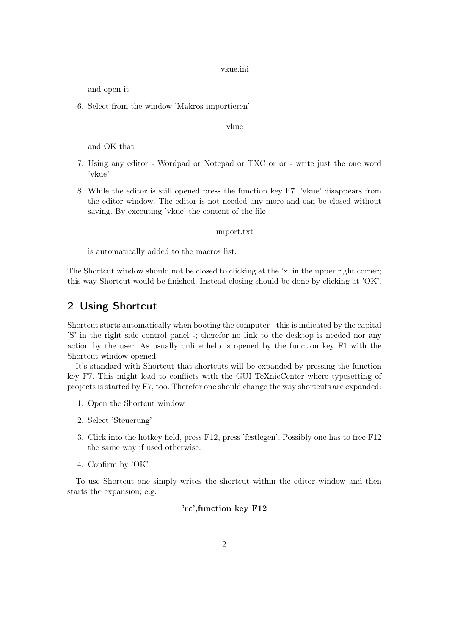vkue.ini

and open it

6. Select from the window 'Makros importieren'

vkue

and OK that

- 7. Using any editor Wordpad or Notepad or TXC or or write just the one word 'vkue'
- 8. While the editor is still opened press the function key F7. 'vkue' disappears from the editor window. The editor is not needed any more and can be closed without saving. By executing 'vkue' the content of the file

#### import.txt

is automatically added to the macros list.

The Shortcut window should not be closed to clicking at the 'x' in the upper right corner; this way Shortcut would be finished. Instead closing should be done by clicking at 'OK'.

## 2 Using Shortcut

Shortcut starts automatically when booting the computer - this is indicated by the capital 'S' in the right side control panel -; therefor no link to the desktop is needed nor any action by the user. As usually online help is opened by the function key F1 with the Shortcut window opened.

It's standard with Shortcut that shortcuts will be expanded by pressing the function key F7. This might lead to conflicts with the GUI TeXnicCenter where typesetting of projects is started by F7, too. Therefor one should change the way shortcuts are expanded:

- 1. Open the Shortcut window
- 2. Select 'Steuerung'
- 3. Click into the hotkey field, press F12, press 'festlegen'. Possibly one has to free F12 the same way if used otherwise.
- 4. Confirm by 'OK'

To use Shortcut one simply writes the shortcut within the editor window and then starts the expansion; e.g.

### 'rc',function key F12